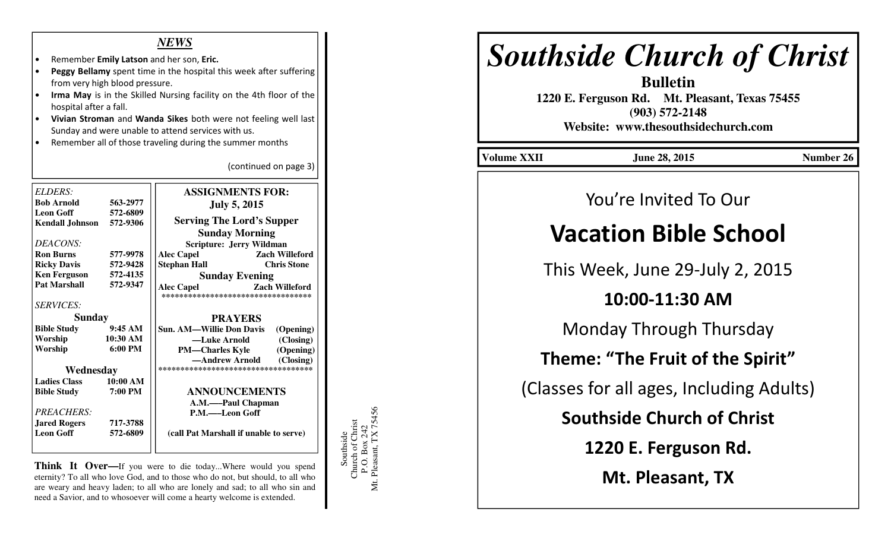### *NEWS*

- Remember Emily Latson and her son, Eric.
- Peggy Bellamy spent time in the hospital this week after suffering from very high blood pressure.
- Irma May is in the Skilled Nursing facility on the 4th floor of the hospital after a fall.
- Vivian Stroman and Wanda Sikes both were not feeling well last Sunday and were unable to attend services with us.
- Remember all of those traveling during the summer months

(continued on page 3)

| ELDERS:                |                   | <b>ASSIGNMENTS FOR:</b>                                                           |
|------------------------|-------------------|-----------------------------------------------------------------------------------|
| <b>Bob Arnold</b>      | 563-2977          | <b>July 5, 2015</b>                                                               |
| <b>Leon Goff</b>       | 572-6809          |                                                                                   |
| <b>Kendall Johnson</b> | 572-9306          | <b>Serving The Lord's Supper</b>                                                  |
|                        |                   | <b>Sunday Morning</b>                                                             |
| DEACONS:               |                   | <b>Scripture: Jerry Wildman</b>                                                   |
| <b>Ron Burns</b>       | 577-9978          | <b>Zach Willeford</b><br><b>Alec Capel</b>                                        |
| <b>Ricky Davis</b>     | 572-9428          | <b>Stephan Hall</b><br><b>Chris Stone</b>                                         |
| <b>Ken Ferguson</b>    | 572-4135          | <b>Sunday Evening</b>                                                             |
| <b>Pat Marshall</b>    | 572-9347          | <b>Alec Capel</b><br><b>Zach Willeford</b><br>*********************************** |
| <b>SERVICES:</b>       |                   |                                                                                   |
| <b>Sunday</b>          |                   | <b>PRAYERS</b>                                                                    |
| <b>Bible Study</b>     | 9:45AM            | <b>Sun. AM—Willie Don Davis</b><br>(Opening)                                      |
| Worship                | 10:30 AM          | (Closing)<br>—Luke Arnold                                                         |
| Worship                | $6:00 \text{ PM}$ | (Opening)<br>PM—Charles Kyle                                                      |
|                        |                   | -Andrew Arnold (Closing)                                                          |
| Wednesday              |                   | ************************************                                              |
| <b>Ladies Class</b>    | 10:00 AM          |                                                                                   |
| <b>Bible Study</b>     | 7:00 PM           | <b>ANNOUNCEMENTS</b>                                                              |
|                        |                   | A.M.-Paul Chapman                                                                 |
| <i>PREACHERS:</i>      |                   | P.M.-Leon Goff                                                                    |
| <b>Jared Rogers</b>    | 717-3788          |                                                                                   |
| <b>Leon Goff</b>       | 572-6809          | (call Pat Marshall if unable to serve)                                            |
|                        |                   |                                                                                   |

**Think It Over—**If you were to die today...Where would you spend eternity? To all who love God, and to those who do not, but should, to all who are weary and heavy laden; to all who are lonely and sad; to all who sin and need a Savior, and to whosoever will come a hearty welcome is extended.

Mt. Pleasant, TX 75456 5456 Southside<br>Church of Christ Church of Christ P.O. Box 242 P.O. Box 242 Southside Mt. Pleasant,

# *Southside Church of Christ*

**Bulletin 1220 E. Ferguson Rd. Mt. Pleasant, Texas 75455 (903) 572-2148 Website: www.thesouthsidechurch.com** 

**Volume XXII June 28, 2015 Number 26** 

### You're Invited To Our

## Vacation Bible School

This Week, June 29-July 2, 2015

### 10:00-11:30 AM

Monday Through Thursday

Theme: "The Fruit of the Spirit"

(Classes for all ages, Including Adults)

Southside Church of Christ

1220 E. Ferguson Rd.

Mt. Pleasant, TX